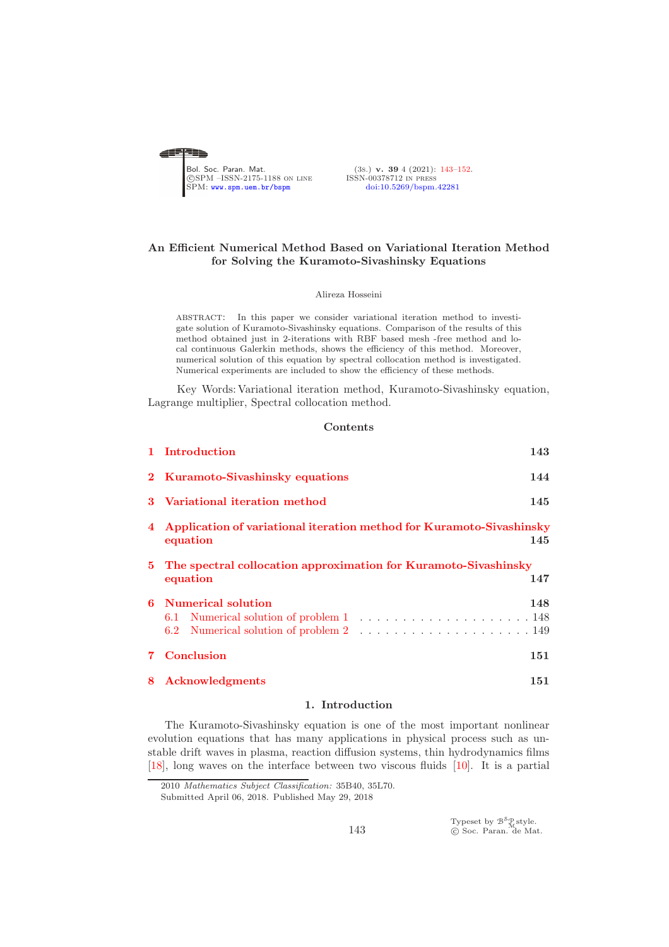<span id="page-0-0"></span>

(3s.) v. 39 4 (2021): [143](#page-0-0)-152.<br>ISSN-00378712 IN PRESS

# An Efficient Numerical Method Based on Variational Iteration Method for Solving the Kuramoto-Sivashinsky Equations

Alireza Hosseini

abstract: In this paper we consider variational iteration method to investigate solution of Kuramoto-Sivashinsky equations. Comparison of the results of this method obtained just in 2-iterations with RBF based mesh -free method and local continuous Galerkin methods, shows the efficiency of this method. Moreover, numerical solution of this equation by spectral collocation method is investigated. Numerical experiments are included to show the efficiency of these methods.

Key Words: Variational iteration method, Kuramoto-Sivashinsky equation, Lagrange multiplier, Spectral collocation method.

### Contents

| 1 Introduction                                                         | 143 |  |  |
|------------------------------------------------------------------------|-----|--|--|
| 2 Kuramoto-Sivashinsky equations                                       | 144 |  |  |
| 3 Variational iteration method                                         | 145 |  |  |
| 4 Application of variational iteration method for Kuramoto-Sivashinsky |     |  |  |
| equation                                                               | 145 |  |  |
| 5 The spectral collocation approximation for Kuramoto-Sivashinsky      |     |  |  |
| equation                                                               | 147 |  |  |
| <b>6</b> Numerical solution                                            | 148 |  |  |
|                                                                        |     |  |  |
|                                                                        |     |  |  |
| <b>7</b> Conclusion                                                    | 151 |  |  |
| 8 Acknowledgments                                                      | 151 |  |  |
|                                                                        |     |  |  |

#### 1. Introduction

<span id="page-0-1"></span>The Kuramoto-Sivashinsky equation is one of the most important nonlinear evolution equations that has many applications in physical process such as unstable drift waves in plasma, reaction diffusion systems, thin hydrodynamics films [\[18\]](#page-8-3), long waves on the interface between two viscous fluids [\[10\]](#page-8-4). It is a partial

<sup>2010</sup> Mathematics Subject Classification: 35B40, 35L70.

Submitted April 06, 2018. Published May 29, 2018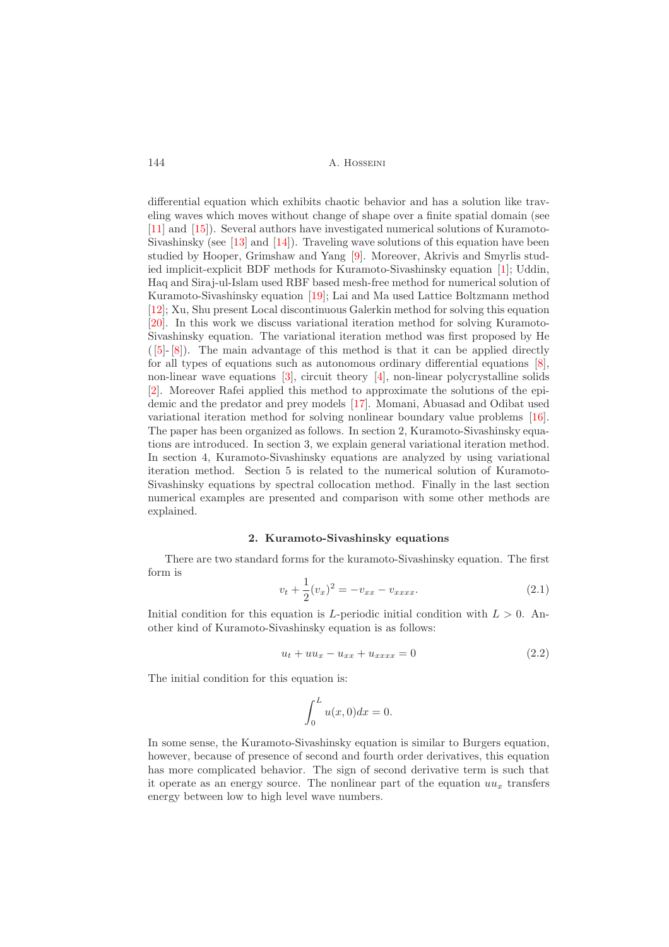differential equation which exhibits chaotic behavior and has a solution like traveling waves which moves without change of shape over a finite spatial domain (see [\[11\]](#page-8-5) and [\[15\]](#page-8-6)). Several authors have investigated numerical solutions of Kuramoto-Sivashinsky (see [\[13\]](#page-8-7) and [\[14\]](#page-8-8)). Traveling wave solutions of this equation have been studied by Hooper, Grimshaw and Yang [\[9\]](#page-8-9). Moreover, Akrivis and Smyrlis studied implicit-explicit BDF methods for Kuramoto-Sivashinsky equation [\[1\]](#page-8-10); Uddin, Haq and Siraj-ul-Islam used RBF based mesh-free method for numerical solution of Kuramoto-Sivashinsky equation [\[19\]](#page-8-11); Lai and Ma used Lattice Boltzmann method [\[12\]](#page-8-12); Xu, Shu present Local discontinuous Galerkin method for solving this equation [\[20\]](#page-9-0). In this work we discuss variational iteration method for solving Kuramoto-Sivashinsky equation. The variational iteration method was first proposed by He ( [\[5\]](#page-8-13)- [\[8\]](#page-8-14)). The main advantage of this method is that it can be applied directly for all types of equations such as autonomous ordinary differential equations [\[8\]](#page-8-14), non-linear wave equations [\[3\]](#page-8-15), circuit theory [\[4\]](#page-8-16), non-linear polycrystalline solids [\[2\]](#page-8-17). Moreover Rafei applied this method to approximate the solutions of the epidemic and the predator and prey models [\[17\]](#page-8-18). Momani, Abuasad and Odibat used variational iteration method for solving nonlinear boundary value problems [\[16\]](#page-8-19). The paper has been organized as follows. In section 2, Kuramoto-Sivashinsky equations are introduced. In section 3, we explain general variational iteration method. In section 4, Kuramoto-Sivashinsky equations are analyzed by using variational iteration method. Section 5 is related to the numerical solution of Kuramoto-Sivashinsky equations by spectral collocation method. Finally in the last section numerical examples are presented and comparison with some other methods are explained.

#### 2. Kuramoto-Sivashinsky equations

<span id="page-1-0"></span>There are two standard forms for the kuramoto-Sivashinsky equation. The first form is

$$
v_t + \frac{1}{2}(v_x)^2 = -v_{xx} - v_{xxxx}.
$$
 (2.1)

Initial condition for this equation is L-periodic initial condition with  $L > 0$ . Another kind of Kuramoto-Sivashinsky equation is as follows:

$$
u_t + uu_x - u_{xx} + u_{xxxx} = 0 \t\t(2.2)
$$

The initial condition for this equation is:

$$
\int_0^L u(x,0)dx = 0.
$$

In some sense, the Kuramoto-Sivashinsky equation is similar to Burgers equation, however, because of presence of second and fourth order derivatives, this equation has more complicated behavior. The sign of second derivative term is such that it operate as an energy source. The nonlinear part of the equation  $uu_x$  transfers energy between low to high level wave numbers.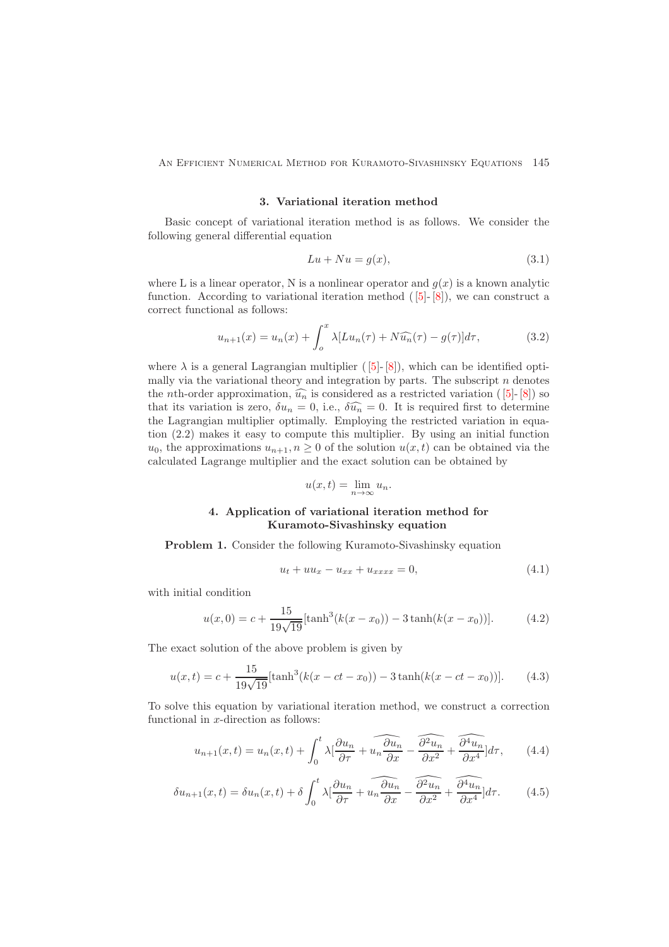<span id="page-2-0"></span>An Efficient Numerical Method for Kuramoto-Sivashinsky Equations 145

### 3. Variational iteration method

Basic concept of variational iteration method is as follows. We consider the following general differential equation

$$
Lu + Nu = g(x),\tag{3.1}
$$

where L is a linear operator, N is a nonlinear operator and  $g(x)$  is a known analytic function. According to variational iteration method  $([5]-[8])$ , we can construct a correct functional as follows:

$$
u_{n+1}(x) = u_n(x) + \int_o^x \lambda [Lu_n(\tau) + N\widehat{u_n}(\tau) - g(\tau)]d\tau,
$$
\n(3.2)

where  $\lambda$  is a general Lagrangian multiplier ([5]-[8]), which can be identified optimally via the variational theory and integration by parts. The subscript  $n$  denotes the *n*th-order approximation,  $\widehat{u_n}$  is considered as a restricted variation ([5]-[8]) so that its variation is zero,  $\delta u_n = 0$ , i.e.,  $\delta \widehat{u_n} = 0$ . It is required first to determine the Lagrangian multiplier optimally. Employing the restricted variation in equation (2.2) makes it easy to compute this multiplier. By using an initial function  $u_0$ , the approximations  $u_{n+1}, n \geq 0$  of the solution  $u(x, t)$  can be obtained via the calculated Lagrange multiplier and the exact solution can be obtained by

$$
u(x,t) = \lim_{n \to \infty} u_n.
$$

# 4. Application of variational iteration method for Kuramoto-Sivashinsky equation

<span id="page-2-1"></span>Problem 1. Consider the following Kuramoto-Sivashinsky equation

<span id="page-2-2"></span>
$$
u_t + uu_x - u_{xx} + u_{xxxx} = 0,
$$
\n(4.1)

with initial condition

$$
u(x,0) = c + \frac{15}{19\sqrt{19}}[\tanh^3(k(x - x_0)) - 3\tanh(k(x - x_0))].
$$
 (4.2)

The exact solution of the above problem is given by

$$
u(x,t) = c + \frac{15}{19\sqrt{19}}[\tanh^3(k(x - ct - x_0)) - 3\tanh(k(x - ct - x_0))].
$$
 (4.3)

To solve this equation by variational iteration method, we construct a correction functional in  $x$ -direction as follows:

$$
u_{n+1}(x,t) = u_n(x,t) + \int_0^t \lambda \left[ \frac{\partial u_n}{\partial \tau} + u_n \overbrace{\frac{\partial u_n}{\partial x}}^{\widehat{\theta u_n}} - \overbrace{\frac{\partial^2 u_n}{\partial x^2}}^{\widehat{\theta u_n}} + \overbrace{\frac{\partial^4 u_n}{\partial x^4}}^{\widehat{\theta u_n}} \right] d\tau, \tag{4.4}
$$

$$
\delta u_{n+1}(x,t) = \delta u_n(x,t) + \delta \int_0^t \lambda \left[ \frac{\partial u_n}{\partial \tau} + \widehat{u_n \frac{\partial u_n}{\partial x}} - \widehat{\frac{\partial^2 u_n}{\partial x^2}} + \widehat{\frac{\partial^4 u_n}{\partial x^4}} \right] d\tau. \tag{4.5}
$$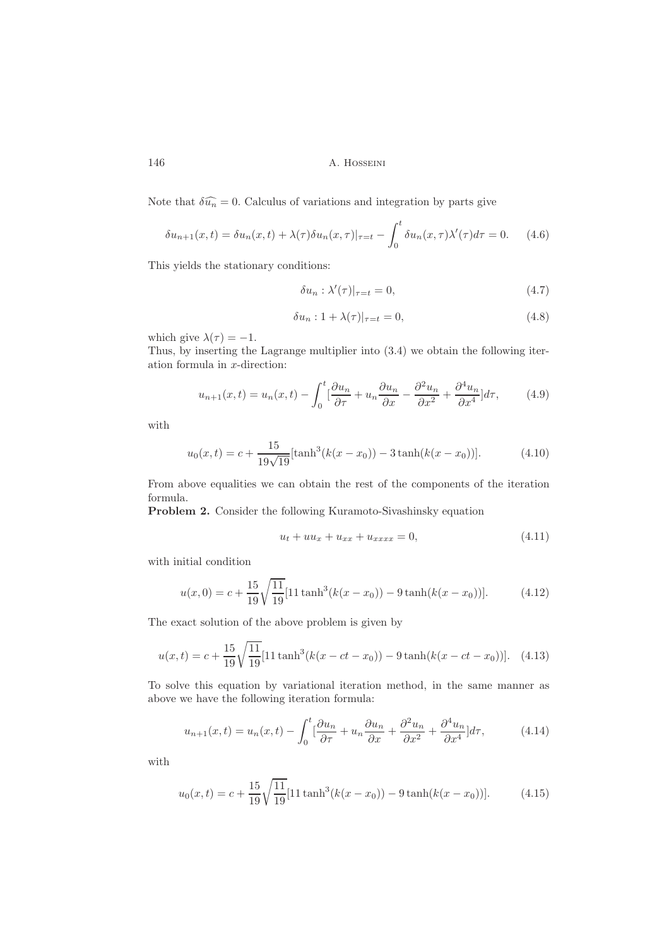Note that  $\delta \widehat{u_n} = 0$ . Calculus of variations and integration by parts give

$$
\delta u_{n+1}(x,t) = \delta u_n(x,t) + \lambda(\tau) \delta u_n(x,\tau)|_{\tau=t} - \int_0^t \delta u_n(x,\tau) \lambda'(\tau) d\tau = 0. \tag{4.6}
$$

This yields the stationary conditions:

$$
\delta u_n : \lambda'(\tau)|_{\tau=t} = 0,\tag{4.7}
$$

$$
\delta u_n : 1 + \lambda(\tau)|_{\tau=t} = 0,\tag{4.8}
$$

which give  $\lambda(\tau) = -1$ .

Thus, by inserting the Lagrange multiplier into (3.4) we obtain the following iteration formula in x-direction:

$$
u_{n+1}(x,t) = u_n(x,t) - \int_0^t \left[\frac{\partial u_n}{\partial \tau} + u_n \frac{\partial u_n}{\partial x} - \frac{\partial^2 u_n}{\partial x^2} + \frac{\partial^4 u_n}{\partial x^4}\right] d\tau,\tag{4.9}
$$

with

$$
u_0(x,t) = c + \frac{15}{19\sqrt{19}}[\tanh^3(k(x - x_0)) - 3\tanh(k(x - x_0))].
$$
 (4.10)

From above equalities we can obtain the rest of the components of the iteration formula.

Problem 2. Consider the following Kuramoto-Sivashinsky equation

<span id="page-3-0"></span>
$$
u_t + uu_x + u_{xx} + u_{xxxx} = 0, \t\t(4.11)
$$

with initial condition

$$
u(x,0) = c + \frac{15}{19} \sqrt{\frac{11}{19}} [11 \tanh^3(k(x - x_0)) - 9 \tanh(k(x - x_0))]. \tag{4.12}
$$

The exact solution of the above problem is given by

$$
u(x,t) = c + \frac{15}{19} \sqrt{\frac{11}{19}} [11 \tanh^3(k(x - ct - x_0)) - 9 \tanh(k(x - ct - x_0))]. \tag{4.13}
$$

To solve this equation by variational iteration method, in the same manner as above we have the following iteration formula:

$$
u_{n+1}(x,t) = u_n(x,t) - \int_0^t \left[\frac{\partial u_n}{\partial \tau} + u_n \frac{\partial u_n}{\partial x} + \frac{\partial^2 u_n}{\partial x^2} + \frac{\partial^4 u_n}{\partial x^4}\right] d\tau,\tag{4.14}
$$

with

$$
u_0(x,t) = c + \frac{15}{19} \sqrt{\frac{11}{19}} [11 \tanh^3(k(x - x_0)) - 9 \tanh(k(x - x_0))]. \tag{4.15}
$$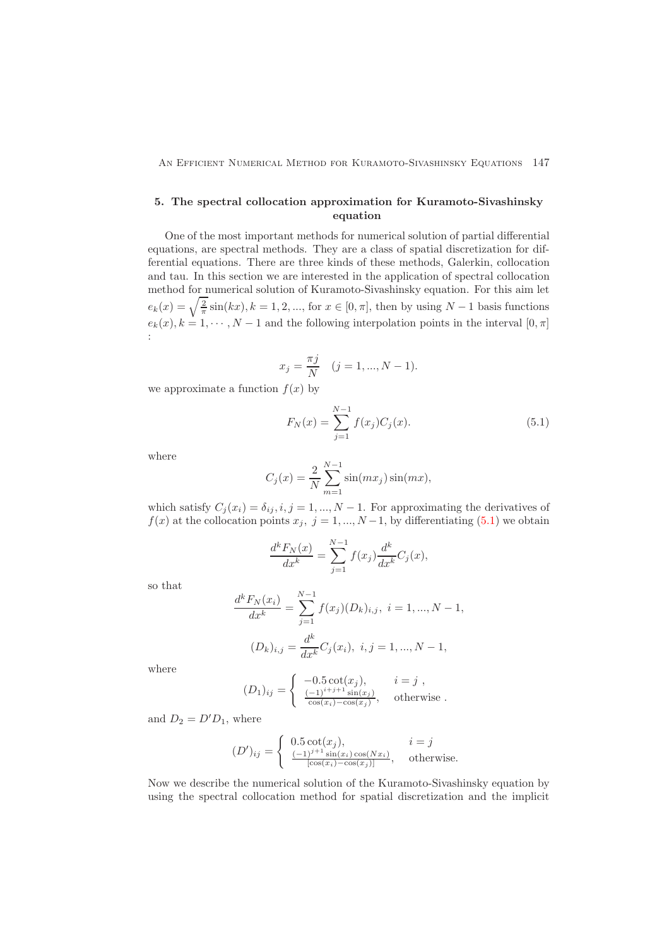# <span id="page-4-0"></span>5. The spectral collocation approximation for Kuramoto-Sivashinsky equation

One of the most important methods for numerical solution of partial differential equations, are spectral methods. They are a class of spatial discretization for differential equations. There are three kinds of these methods, Galerkin, collocation and tau. In this section we are interested in the application of spectral collocation method for numerical solution of Kuramoto-Sivashinsky equation. For this aim let  $e_k(x) = \sqrt{\frac{2}{\pi}} \sin(kx), k = 1, 2, ...,$  for  $x \in [0, \pi]$ , then by using  $N - 1$  basis functions  $e_k(x)$ ,  $k = 1, \dots, N - 1$  and the following interpolation points in the interval  $[0, \pi]$ :

$$
x_j = \frac{\pi j}{N} \quad (j = 1, ..., N - 1).
$$

we approximate a function  $f(x)$  by

<span id="page-4-1"></span>
$$
F_N(x) = \sum_{j=1}^{N-1} f(x_j) C_j(x).
$$
 (5.1)

where

$$
C_j(x) = \frac{2}{N} \sum_{m=1}^{N-1} \sin(mx_j) \sin(mx),
$$

which satisfy  $C_j(x_i) = \delta_{ij}, i, j = 1, ..., N - 1$ . For approximating the derivatives of  $f(x)$  at the collocation points  $x_j$ ,  $j = 1, ..., N-1$ , by differentiating [\(5.1\)](#page-4-1) we obtain

$$
\frac{d^k F_N(x)}{dx^k} = \sum_{j=1}^{N-1} f(x_j) \frac{d^k}{dx^k} C_j(x),
$$

so that

$$
\frac{d^k F_N(x_i)}{dx^k} = \sum_{j=1}^{N-1} f(x_j)(D_k)_{i,j}, \ i = 1, ..., N-1,
$$
  

$$
(D_k)_{i,j} = \frac{d^k}{dx^k} C_j(x_i), \ i, j = 1, ..., N-1,
$$

where

$$
(D_1)_{ij} = \begin{cases} -0.5 \cot(x_j), & i = j, \\ \frac{(-1)^{i+j+1} \sin(x_j)}{\cos(x_i) - \cos(x_j)}, & \text{otherwise.} \end{cases}
$$

and  $D_2 = D'D_1$ , where

$$
(D')_{ij} = \begin{cases} 0.5 \cot(x_j), & i = j \\ \frac{(-1)^{j+1} \sin(x_i) \cos(Nx_i)}{\left[\cos(x_i) - \cos(x_j)\right]}, & \text{otherwise.} \end{cases}
$$

Now we describe the numerical solution of the Kuramoto-Sivashinsky equation by using the spectral collocation method for spatial discretization and the implicit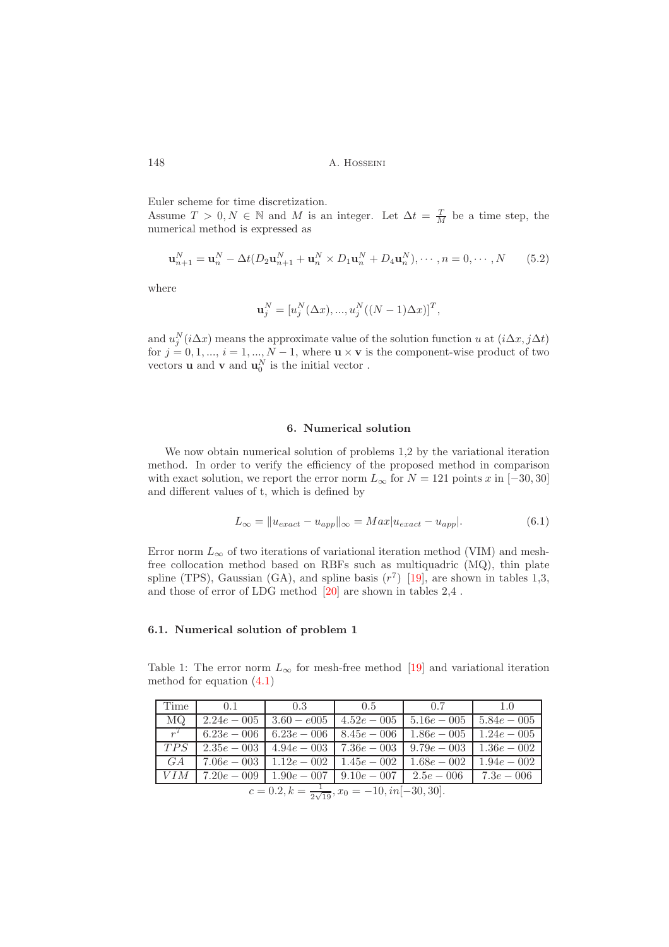Euler scheme for time discretization.

Assume  $T > 0, N \in \mathbb{N}$  and M is an integer. Let  $\Delta t = \frac{T}{M}$  be a time step, the numerical method is expressed as

$$
\mathbf{u}_{n+1}^N = \mathbf{u}_n^N - \Delta t (D_2 \mathbf{u}_{n+1}^N + \mathbf{u}_n^N \times D_1 \mathbf{u}_n^N + D_4 \mathbf{u}_n^N), \cdots, n = 0, \cdots, N \tag{5.2}
$$

where

$$
\mathbf{u}_j^N = [u_j^N(\Delta x), ..., u_j^N((N-1)\Delta x)]^T,
$$

and  $u_j^N(i\Delta x)$  means the approximate value of the solution function u at  $(i\Delta x, j\Delta t)$ for  $j = 0, 1, ..., i = 1, ..., N - 1$ , where  $\mathbf{u} \times \mathbf{v}$  is the component-wise product of two vectors **u** and **v** and  $\mathbf{u}_0^N$  is the initial vector.

#### 6. Numerical solution

<span id="page-5-0"></span>We now obtain numerical solution of problems 1,2 by the variational iteration method. In order to verify the efficiency of the proposed method in comparison with exact solution, we report the error norm  $L_{\infty}$  for  $N = 121$  points  $x$  in  $[-30, 30]$ and different values of t, which is defined by

$$
L_{\infty} = ||u_{exact} - u_{app}||_{\infty} = Max|u_{exact} - u_{app}|.
$$
\n(6.1)

Error norm  $L_{\infty}$  of two iterations of variational iteration method (VIM) and meshfree collocation method based on RBFs such as multiquadric (MQ), thin plate spline (TPS), Gaussian (GA), and spline basis  $(r^7)$  [\[19\]](#page-8-11), are shown in tables 1,3, and those of error of LDG method [\[20\]](#page-9-0) are shown in tables 2,4 .

### <span id="page-5-1"></span>6.1. Numerical solution of problem 1

Table 1: The error norm  $L_{\infty}$  for mesh-free method [\[19\]](#page-8-11) and variational iteration method for equation [\(4.1\)](#page-2-2)

| Time                                                         | 0.1           | 0.3                                                          | 0.5                           | 0.7            | 1.0           |
|--------------------------------------------------------------|---------------|--------------------------------------------------------------|-------------------------------|----------------|---------------|
| MQ.                                                          |               | $2.24e - 005$   $3.60 - e005$   $4.52e - 005$                |                               | $1\,5.16e-005$ | $5.84e - 005$ |
| $r^7$                                                        | $6.23e - 006$ |                                                              | $6.23e - 006$   $8.45e - 006$ | $1.86e - 005$  | $1.24e - 005$ |
| TPS                                                          | $2.35e - 003$ | $4.94e - 003 + 7.36e - 003$                                  |                               | $9.79e - 003$  | $1.36e - 002$ |
| G A                                                          | $7.06e - 003$ | $1.12e - 002 + 1.45e - 002$                                  |                               | $1.68e - 002$  | $1.94e - 002$ |
| VIM                                                          |               | $7.20e - 009$   $1.90e - 007$   $9.10e - 007$   $2.5e - 006$ |                               |                | $7.3e - 006$  |
| $c = 0.2, k = \frac{1}{2\sqrt{19}}, x_0 = -10, in[-30, 30].$ |               |                                                              |                               |                |               |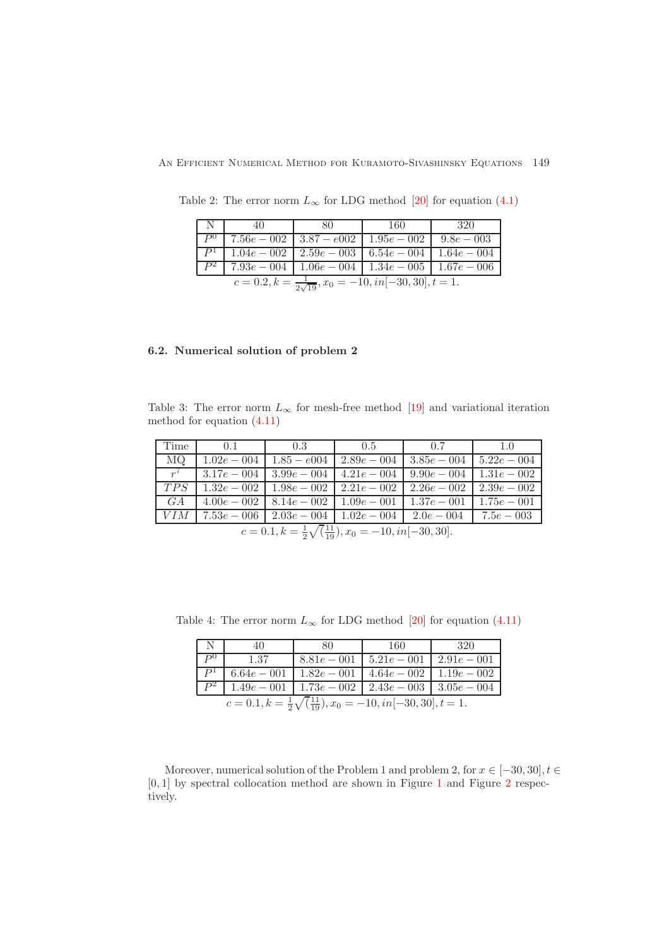| $\mathbb{N}$ .                                                                 | 40 | 80 | 160                                                                   | 320 |  |
|--------------------------------------------------------------------------------|----|----|-----------------------------------------------------------------------|-----|--|
|                                                                                |    |    | $\boxed{P^0$   7.56e - 002   3.87 - e002   1.95e - 002   9.8e - 003   |     |  |
|                                                                                |    |    | $P^1$   $1.04e - 002$   $2.59e - 003$   $6.54e - 004$   $1.64e - 004$ |     |  |
|                                                                                |    |    | $7.93e - 004$   $1.06e - 004$   $1.34e - 005$   $1.67e - 006$         |     |  |
| $c = 0.2, k = \frac{1}{2\sqrt{19}}, x_0 = -10, in[-\overline{30, 30}], t = 1.$ |    |    |                                                                       |     |  |

Table 2: The error norm  $L_{\infty}$  for LDG method [\[20\]](#page-9-0) for equation [\(4.1\)](#page-2-2)

### <span id="page-6-0"></span>6.2. Numerical solution of problem 2

Table 3: The error norm  $L_{\infty}$  for mesh-free method [\[19\]](#page-8-11) and variational iteration method for equation [\(4.11\)](#page-3-0)

| l Time                                                                  | 0.1                                                                                                     | 0.3 | 0.5 | 0.7 | 1.0 |
|-------------------------------------------------------------------------|---------------------------------------------------------------------------------------------------------|-----|-----|-----|-----|
| MQ                                                                      | $\mid 1.02e-0.04 \mid 1.85-e0.04 \mid 2.89e-0.04 \mid 3.85e-0.04 \mid 5.22e-0.04$                       |     |     |     |     |
| $r^7$                                                                   | $\mid 3.17e - 0.04 \mid 3.99e - 0.04 \mid 4.21e - 0.04 \mid 9.90e - 0.04 \mid 1.31e - 0.02$             |     |     |     |     |
| TPS                                                                     | $1.32e - 002$   $1.98e - 002$   $2.21e - 002$   $2.26e - 002$   $2.39e - 002$                           |     |     |     |     |
| $\Box$ GA                                                               | $\mid 4.00e-002 \mid 8.14e-002 \mid 1.09e-001 \mid 1.37e-001 \mid 1.75e-001$                            |     |     |     |     |
|                                                                         | $\mid$ VIM $\mid$ 7.53e – 006 $\mid$ 2.03e – 004 $\mid$ 1.02e – 004 $\mid$ 2.0e – 004 $\mid$ 7.5e – 003 |     |     |     |     |
| $c = 0.1, k = \frac{1}{2}\sqrt{\frac{11}{19}}, x_0 = -10, in[-30, 30].$ |                                                                                                         |     |     |     |     |

Table 4: The error norm  $L_{\infty}$  for LDG method [\[20\]](#page-9-0) for equation [\(4.11\)](#page-3-0)

| $\mathbf N$                                                                    | 40                | 80 | -160                                                             | 320 |  |
|--------------------------------------------------------------------------------|-------------------|----|------------------------------------------------------------------|-----|--|
|                                                                                | 1.37              |    | $8.81e - 001$   $5.21e - 001$   $2.91e - 001$                    |     |  |
|                                                                                | $P^1$ 6.64e – 001 |    | $1.82e - 001$   $4.64e - 002$   $1.19e - 002$                    |     |  |
|                                                                                |                   |    | $1.49e - 001 \mid 1.73e - 002 \mid 2.43e - 003 \mid 3.05e - 004$ |     |  |
| $c = 0.1, k = \frac{1}{2}\sqrt{\frac{11}{19}}, x_0 = -10, in[-30, 30], t = 1.$ |                   |    |                                                                  |     |  |

Moreover, numerical solution of the Problem 1 and problem 2, for  $x \in [-30, 30], t \in$ [0, 1] by spectral collocation method are shown in Figure [1](#page-7-0) and Figure [2](#page-7-1) respectively.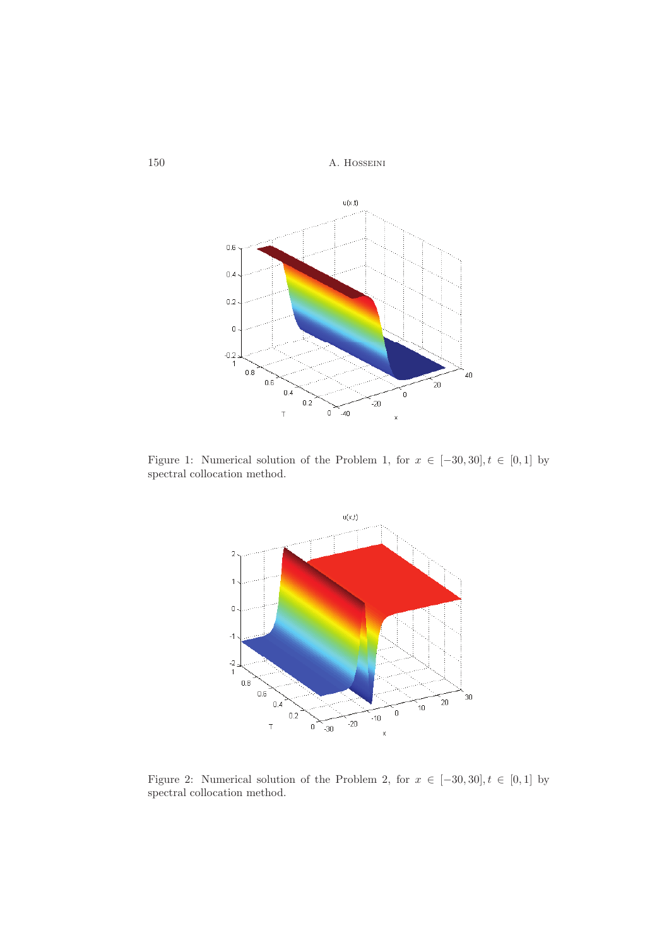<span id="page-7-0"></span>150 A. Hosseini



<span id="page-7-1"></span>Figure 1: Numerical solution of the Problem 1, for  $x \in [-30, 30], t \in [0, 1]$  by spectral collocation method.



Figure 2: Numerical solution of the Problem 2, for  $x \in [-30, 30], t \in [0, 1]$  by spectral collocation method.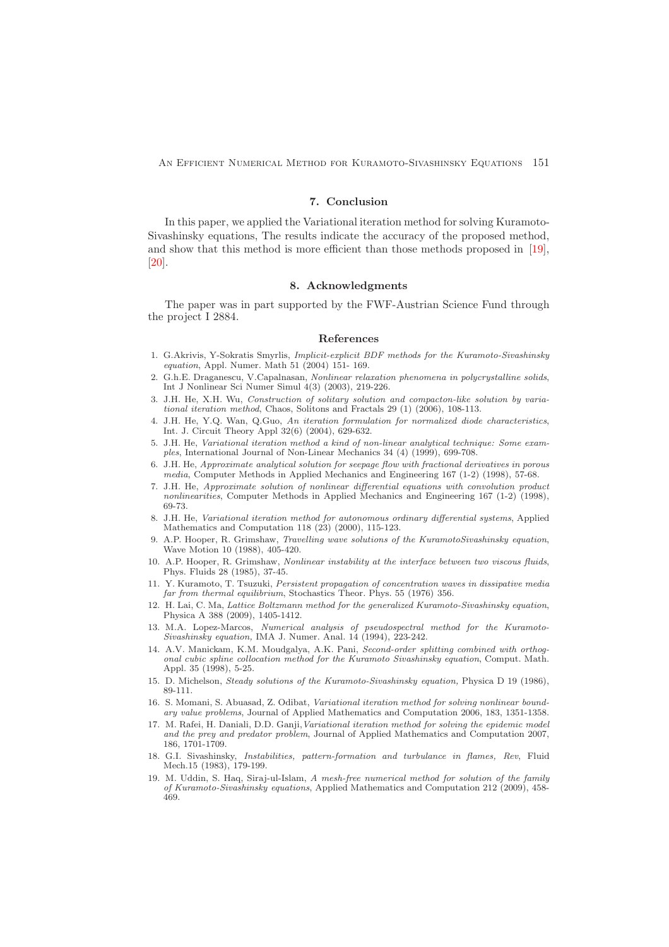<span id="page-8-1"></span>An Efficient Numerical Method for Kuramoto-Sivashinsky Equations 151

### 7. Conclusion

In this paper, we applied the Variational iteration method for solving Kuramoto-Sivashinsky equations, The results indicate the accuracy of the proposed method, and show that this method is more efficient than those methods proposed in [\[19\]](#page-8-11), [\[20\]](#page-9-0).

#### 8. Acknowledgments

<span id="page-8-2"></span>The paper was in part supported by the FWF-Austrian Science Fund through the project I 2884.

#### <span id="page-8-0"></span>References

- <span id="page-8-10"></span>1. G.Akrivis, Y-Sokratis Smyrlis, Implicit-explicit BDF methods for the Kuramoto-Sivashinsky equation, Appl. Numer. Math 51 (2004) 151- 169.
- <span id="page-8-17"></span>2. G.h.E. Draganescu, V.Capalnasan, Nonlinear relaxation phenomena in polycrystalline solids, Int J Nonlinear Sci Numer Simul 4(3) (2003), 219-226.
- <span id="page-8-15"></span>3. J.H. He, X.H. Wu, Construction of solitary solution and compacton-like solution by variational iteration method, Chaos, Solitons and Fractals 29 (1) (2006), 108-113.
- <span id="page-8-16"></span>4. J.H. He, Y.Q. Wan, Q.Guo, An iteration formulation for normalized diode characteristics, Int. J. Circuit Theory Appl 32(6) (2004), 629-632.
- <span id="page-8-13"></span>5. J.H. He, Variational iteration method a kind of non-linear analytical technique: Some examples, International Journal of Non-Linear Mechanics 34 (4) (1999), 699-708.
- 6. J.H. He, Approximate analytical solution for seepage flow with fractional derivatives in porous media, Computer Methods in Applied Mechanics and Engineering 167 (1-2) (1998), 57-68.
- 7. J.H. He, Approximate solution of nonlinear differential equations with convolution product nonlinearities, Computer Methods in Applied Mechanics and Engineering 167 (1-2) (1998), 69-73.
- <span id="page-8-14"></span>8. J.H. He, Variational iteration method for autonomous ordinary differential systems, Applied Mathematics and Computation 118  $(23)$   $(2000)$ , 115-123.
- <span id="page-8-9"></span>9. A.P. Hooper, R. Grimshaw, Travelling wave solutions of the KuramotoSivashinsky equation, Wave Motion 10 (1988), 405-420.
- <span id="page-8-4"></span>10. A.P. Hooper, R. Grimshaw, Nonlinear instability at the interface between two viscous fluids, Phys. Fluids 28 (1985), 37-45.
- <span id="page-8-5"></span>11. Y. Kuramoto, T. Tsuzuki, Persistent propagation of concentration waves in dissipative media far from thermal equilibrium, Stochastics Theor. Phys. 55 (1976) 356.
- <span id="page-8-12"></span>12. H. Lai, C. Ma, Lattice Boltzmann method for the generalized Kuramoto-Sivashinsky equation, Physica A 388 (2009), 1405-1412.
- <span id="page-8-7"></span>13. M.A. Lopez-Marcos, Numerical analysis of pseudospectral method for the Kuramoto-Sivashinsky equation, IMA J. Numer. Anal. 14 (1994), 223-242.
- <span id="page-8-8"></span>14. A.V. Manickam, K.M. Moudgalya, A.K. Pani, Second-order splitting combined with orthogonal cubic spline collocation method for the Kuramoto Sivashinsky equation, Comput. Math. Appl. 35 (1998), 5-25.
- <span id="page-8-6"></span>15. D. Michelson, Steady solutions of the Kuramoto-Sivashinsky equation, Physica D 19 (1986), 89-111.
- <span id="page-8-19"></span>16. S. Momani, S. Abuasad, Z. Odibat, Variational iteration method for solving nonlinear boundary value problems, Journal of Applied Mathematics and Computation 2006, 183, 1351-1358.
- <span id="page-8-18"></span>17. M. Rafei, H. Daniali, D.D. Ganji,Variational iteration method for solving the epidemic model and the prey and predator problem, Journal of Applied Mathematics and Computation 2007, 186, 1701-1709.
- <span id="page-8-3"></span>18. G.I. Sivashinsky, Instabilities, pattern-formation and turbulance in flames, Rev, Fluid Mech.15 (1983), 179-199.
- <span id="page-8-11"></span>19. M. Uddin, S. Haq, Siraj-ul-Islam, A mesh-free numerical method for solution of the family of Kuramoto-Sivashinsky equations, Applied Mathematics and Computation 212 (2009), 458- 469.